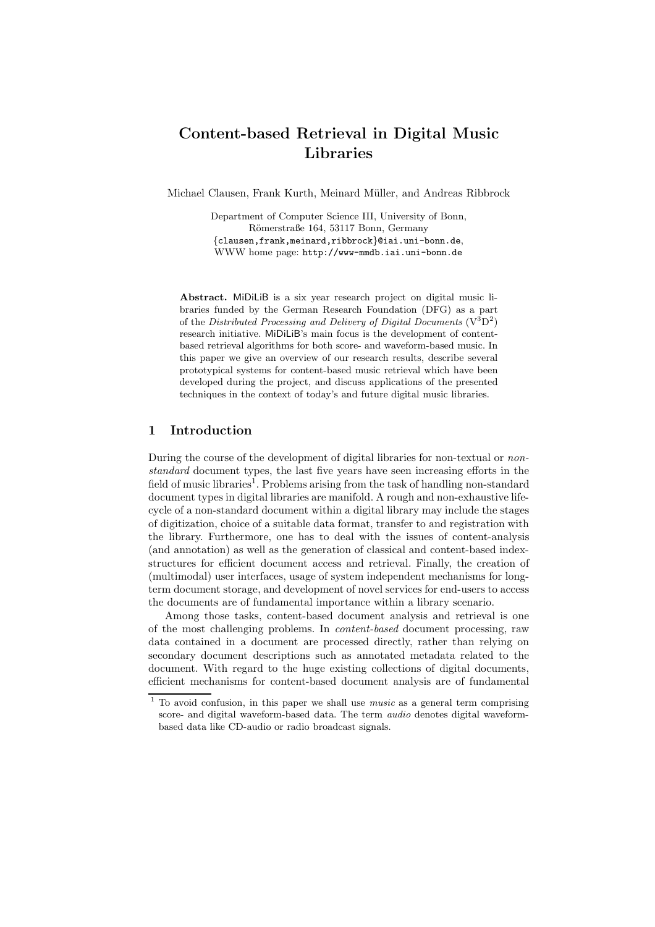# Content-based Retrieval in Digital Music Libraries

Michael Clausen, Frank Kurth, Meinard Müller, and Andreas Ribbrock

Department of Computer Science III, University of Bonn, Römerstraße 164, 53117 Bonn, Germany {clausen,frank,meinard,ribbrock}@iai.uni-bonn.de, WWW home page: http://www-mmdb.iai.uni-bonn.de

Abstract. MiDiLiB is a six year research project on digital music libraries funded by the German Research Foundation (DFG) as a part of the Distributed Processing and Delivery of Digital Documents  $(V^{3}D^{2})$ research initiative. MiDiLiB's main focus is the development of contentbased retrieval algorithms for both score- and waveform-based music. In this paper we give an overview of our research results, describe several prototypical systems for content-based music retrieval which have been developed during the project, and discuss applications of the presented techniques in the context of today's and future digital music libraries.

## 1 Introduction

During the course of the development of digital libraries for non-textual or nonstandard document types, the last five years have seen increasing efforts in the field of music libraries<sup>1</sup>. Problems arising from the task of handling non-standard document types in digital libraries are manifold. A rough and non-exhaustive lifecycle of a non-standard document within a digital library may include the stages of digitization, choice of a suitable data format, transfer to and registration with the library. Furthermore, one has to deal with the issues of content-analysis (and annotation) as well as the generation of classical and content-based indexstructures for efficient document access and retrieval. Finally, the creation of (multimodal) user interfaces, usage of system independent mechanisms for longterm document storage, and development of novel services for end-users to access the documents are of fundamental importance within a library scenario.

Among those tasks, content-based document analysis and retrieval is one of the most challenging problems. In content-based document processing, raw data contained in a document are processed directly, rather than relying on secondary document descriptions such as annotated metadata related to the document. With regard to the huge existing collections of digital documents, efficient mechanisms for content-based document analysis are of fundamental

 $1$  To avoid confusion, in this paper we shall use *music* as a general term comprising score- and digital waveform-based data. The term audio denotes digital waveformbased data like CD-audio or radio broadcast signals.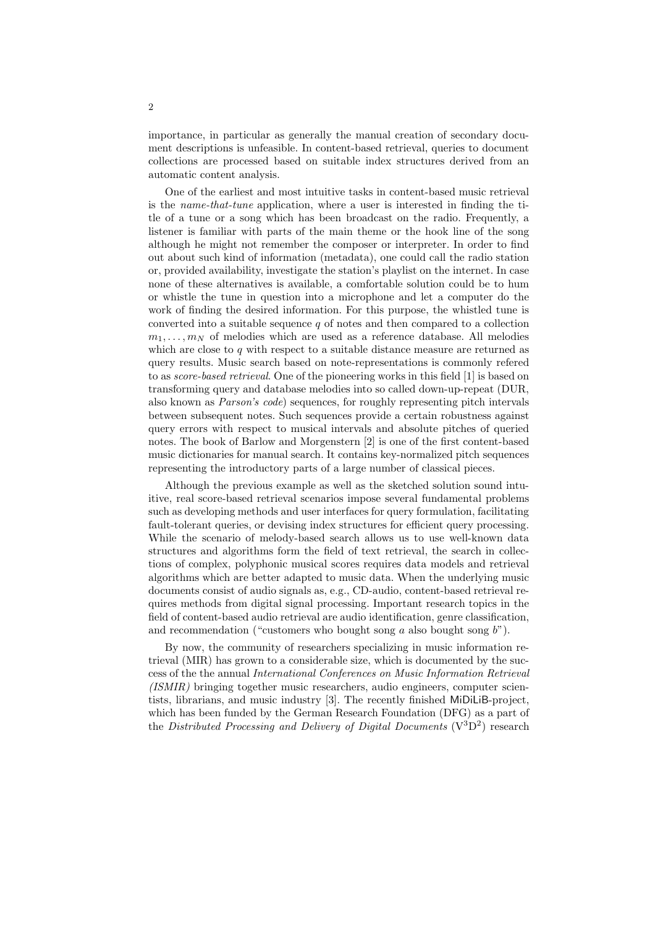importance, in particular as generally the manual creation of secondary document descriptions is unfeasible. In content-based retrieval, queries to document collections are processed based on suitable index structures derived from an automatic content analysis.

One of the earliest and most intuitive tasks in content-based music retrieval is the name-that-tune application, where a user is interested in finding the title of a tune or a song which has been broadcast on the radio. Frequently, a listener is familiar with parts of the main theme or the hook line of the song although he might not remember the composer or interpreter. In order to find out about such kind of information (metadata), one could call the radio station or, provided availability, investigate the station's playlist on the internet. In case none of these alternatives is available, a comfortable solution could be to hum or whistle the tune in question into a microphone and let a computer do the work of finding the desired information. For this purpose, the whistled tune is converted into a suitable sequence  $q$  of notes and then compared to a collection  $m_1, \ldots, m_N$  of melodies which are used as a reference database. All melodies which are close to  $q$  with respect to a suitable distance measure are returned as query results. Music search based on note-representations is commonly refered to as *score-based retrieval*. One of the pioneering works in this field [1] is based on transforming query and database melodies into so called down-up-repeat (DUR, also known as Parson's code) sequences, for roughly representing pitch intervals between subsequent notes. Such sequences provide a certain robustness against query errors with respect to musical intervals and absolute pitches of queried notes. The book of Barlow and Morgenstern [2] is one of the first content-based music dictionaries for manual search. It contains key-normalized pitch sequences representing the introductory parts of a large number of classical pieces.

Although the previous example as well as the sketched solution sound intuitive, real score-based retrieval scenarios impose several fundamental problems such as developing methods and user interfaces for query formulation, facilitating fault-tolerant queries, or devising index structures for efficient query processing. While the scenario of melody-based search allows us to use well-known data structures and algorithms form the field of text retrieval, the search in collections of complex, polyphonic musical scores requires data models and retrieval algorithms which are better adapted to music data. When the underlying music documents consist of audio signals as, e.g., CD-audio, content-based retrieval requires methods from digital signal processing. Important research topics in the field of content-based audio retrieval are audio identification, genre classification, and recommendation ("customers who bought song a also bought song  $b$ ").

By now, the community of researchers specializing in music information retrieval (MIR) has grown to a considerable size, which is documented by the success of the the annual International Conferences on Music Information Retrieval (ISMIR) bringing together music researchers, audio engineers, computer scientists, librarians, and music industry [3]. The recently finished MiDiLiB-project, which has been funded by the German Research Foundation (DFG) as a part of the Distributed Processing and Delivery of Digital Documents ( $V^3D^2$ ) research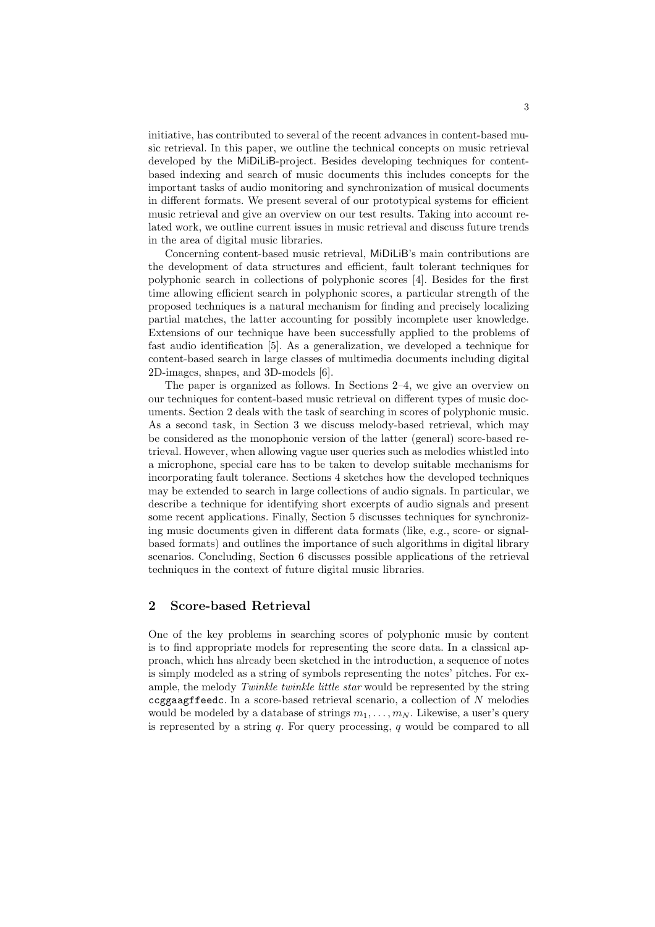initiative, has contributed to several of the recent advances in content-based music retrieval. In this paper, we outline the technical concepts on music retrieval developed by the MiDiLiB-project. Besides developing techniques for contentbased indexing and search of music documents this includes concepts for the important tasks of audio monitoring and synchronization of musical documents in different formats. We present several of our prototypical systems for efficient music retrieval and give an overview on our test results. Taking into account related work, we outline current issues in music retrieval and discuss future trends in the area of digital music libraries.

Concerning content-based music retrieval, MiDiLiB's main contributions are the development of data structures and efficient, fault tolerant techniques for polyphonic search in collections of polyphonic scores [4]. Besides for the first time allowing efficient search in polyphonic scores, a particular strength of the proposed techniques is a natural mechanism for finding and precisely localizing partial matches, the latter accounting for possibly incomplete user knowledge. Extensions of our technique have been successfully applied to the problems of fast audio identification [5]. As a generalization, we developed a technique for content-based search in large classes of multimedia documents including digital 2D-images, shapes, and 3D-models [6].

The paper is organized as follows. In Sections 2–4, we give an overview on our techniques for content-based music retrieval on different types of music documents. Section 2 deals with the task of searching in scores of polyphonic music. As a second task, in Section 3 we discuss melody-based retrieval, which may be considered as the monophonic version of the latter (general) score-based retrieval. However, when allowing vague user queries such as melodies whistled into a microphone, special care has to be taken to develop suitable mechanisms for incorporating fault tolerance. Sections 4 sketches how the developed techniques may be extended to search in large collections of audio signals. In particular, we describe a technique for identifying short excerpts of audio signals and present some recent applications. Finally, Section 5 discusses techniques for synchronizing music documents given in different data formats (like, e.g., score- or signalbased formats) and outlines the importance of such algorithms in digital library scenarios. Concluding, Section 6 discusses possible applications of the retrieval techniques in the context of future digital music libraries.

#### 2 Score-based Retrieval

One of the key problems in searching scores of polyphonic music by content is to find appropriate models for representing the score data. In a classical approach, which has already been sketched in the introduction, a sequence of notes is simply modeled as a string of symbols representing the notes' pitches. For example, the melody Twinkle twinkle little star would be represented by the string ccggaagffeedc. In a score-based retrieval scenario, a collection of  $N$  melodies would be modeled by a database of strings  $m_1, \ldots, m_N$ . Likewise, a user's query is represented by a string  $q$ . For query processing,  $q$  would be compared to all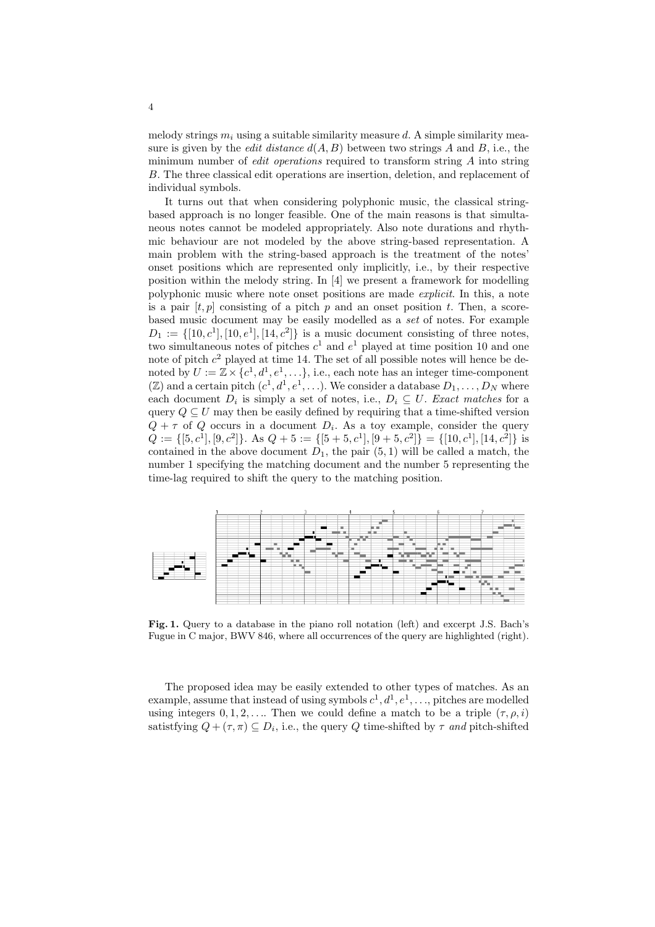melody strings  $m_i$  using a suitable similarity measure d. A simple similarity measure is given by the *edit distance*  $d(A, B)$  between two strings A and B, i.e., the minimum number of *edit operations* required to transform string  $A$  into string B. The three classical edit operations are insertion, deletion, and replacement of individual symbols.

It turns out that when considering polyphonic music, the classical stringbased approach is no longer feasible. One of the main reasons is that simultaneous notes cannot be modeled appropriately. Also note durations and rhythmic behaviour are not modeled by the above string-based representation. A main problem with the string-based approach is the treatment of the notes' onset positions which are represented only implicitly, i.e., by their respective position within the melody string. In [4] we present a framework for modelling polyphonic music where note onset positions are made explicit. In this, a note is a pair  $[t, p]$  consisting of a pitch p and an onset position t. Then, a scorebased music document may be easily modelled as a set of notes. For example  $D_1 := \{ [10, c^1], [10, e^1], [14, c^2] \}$  is a music document consisting of three notes, two simultaneous notes of pitches  $c^1$  and  $e^1$  played at time position 10 and one note of pitch  $c^2$  played at time 14. The set of all possible notes will hence be denoted by  $U := \mathbb{Z} \times \{c^1, d^1, e^1, \ldots\}$ , i.e., each note has an integer time-component  $(\mathbb{Z})$  and a certain pitch  $(c^1, d^1, e^1, \ldots)$ . We consider a database  $D_1, \ldots, D_N$  where each document  $D_i$  is simply a set of notes, i.e.,  $D_i \subseteq U$ . Exact matches for a query  $Q \subseteq U$  may then be easily defined by requiring that a time-shifted version  $Q + \tau$  of Q occurs in a document  $D_i$ . As a toy example, consider the query  $Q := \{ [5, c^1], [9, c^2] \}$ . As  $Q + 5 := \{ [5 + 5, c^1], [9 + 5, c^2] \} = \{ [10, c^1], [14, c^2] \}$  is contained in the above document  $D_1$ , the pair  $(5, 1)$  will be called a match, the number 1 specifying the matching document and the number 5 representing the time-lag required to shift the query to the matching position.



Fig. 1. Query to a database in the piano roll notation (left) and excerpt J.S. Bach's Fugue in C major, BWV 846, where all occurrences of the query are highlighted (right).

The proposed idea may be easily extended to other types of matches. As an example, assume that instead of using symbols  $c^1, d^1, e^1, \ldots$ , pitches are modelled using integers  $0, 1, 2, \ldots$  Then we could define a match to be a triple  $(\tau, \rho, i)$ satistfying  $Q + (\tau, \pi) \subseteq D_i$ , i.e., the query Q time-shifted by  $\tau$  and pitch-shifted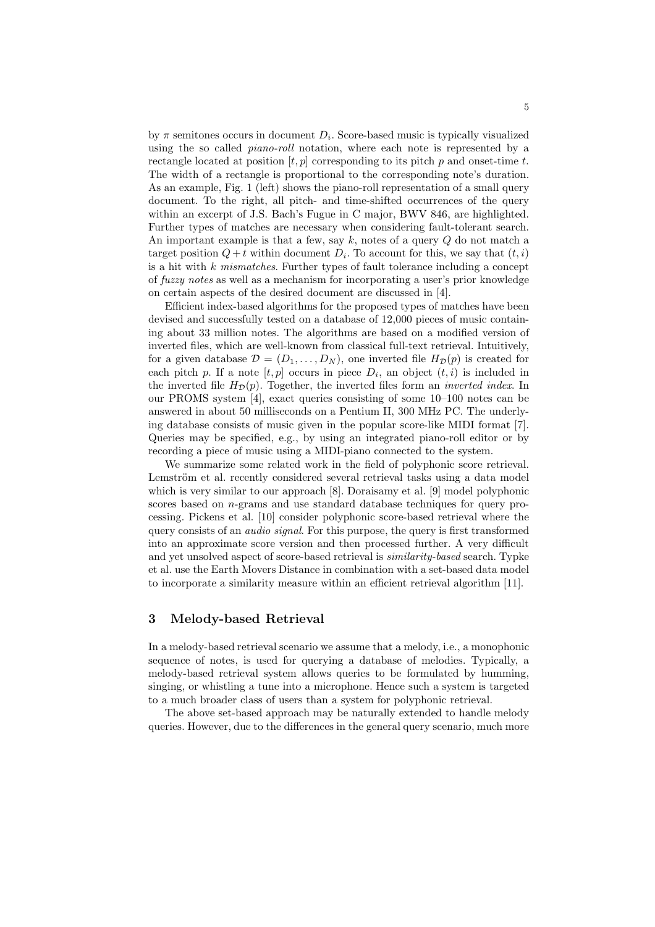by  $\pi$  semitones occurs in document  $D_i$ . Score-based music is typically visualized using the so called *piano-roll* notation, where each note is represented by a rectangle located at position  $[t, p]$  corresponding to its pitch p and onset-time t. The width of a rectangle is proportional to the corresponding note's duration. As an example, Fig. 1 (left) shows the piano-roll representation of a small query document. To the right, all pitch- and time-shifted occurrences of the query within an excerpt of J.S. Bach's Fugue in C major, BWV 846, are highlighted. Further types of matches are necessary when considering fault-tolerant search. An important example is that a few, say  $k$ , notes of a query  $Q$  do not match a target position  $Q+t$  within document  $D_i$ . To account for this, we say that  $(t, i)$ is a hit with  $k$  mismatches. Further types of fault tolerance including a concept of fuzzy notes as well as a mechanism for incorporating a user's prior knowledge on certain aspects of the desired document are discussed in [4].

Efficient index-based algorithms for the proposed types of matches have been devised and successfully tested on a database of 12,000 pieces of music containing about 33 million notes. The algorithms are based on a modified version of inverted files, which are well-known from classical full-text retrieval. Intuitively, for a given database  $\mathcal{D} = (D_1, \ldots, D_N)$ , one inverted file  $H_{\mathcal{D}}(p)$  is created for each pitch p. If a note  $[t, p]$  occurs in piece  $D_i$ , an object  $(t, i)$  is included in the inverted file  $H_{\mathcal{D}}(p)$ . Together, the inverted files form an *inverted index*. In our PROMS system [4], exact queries consisting of some 10–100 notes can be answered in about 50 milliseconds on a Pentium II, 300 MHz PC. The underlying database consists of music given in the popular score-like MIDI format [7]. Queries may be specified, e.g., by using an integrated piano-roll editor or by recording a piece of music using a MIDI-piano connected to the system.

We summarize some related work in the field of polyphonic score retrieval. Lemström et al. recently considered several retrieval tasks using a data model which is very similar to our approach [8]. Doraisamy et al. [9] model polyphonic scores based on  $n$ -grams and use standard database techniques for query processing. Pickens et al. [10] consider polyphonic score-based retrieval where the query consists of an *audio signal*. For this purpose, the query is first transformed into an approximate score version and then processed further. A very difficult and yet unsolved aspect of score-based retrieval is *similarity-based* search. Typke et al. use the Earth Movers Distance in combination with a set-based data model to incorporate a similarity measure within an efficient retrieval algorithm [11].

#### 3 Melody-based Retrieval

In a melody-based retrieval scenario we assume that a melody, i.e., a monophonic sequence of notes, is used for querying a database of melodies. Typically, a melody-based retrieval system allows queries to be formulated by humming, singing, or whistling a tune into a microphone. Hence such a system is targeted to a much broader class of users than a system for polyphonic retrieval.

The above set-based approach may be naturally extended to handle melody queries. However, due to the differences in the general query scenario, much more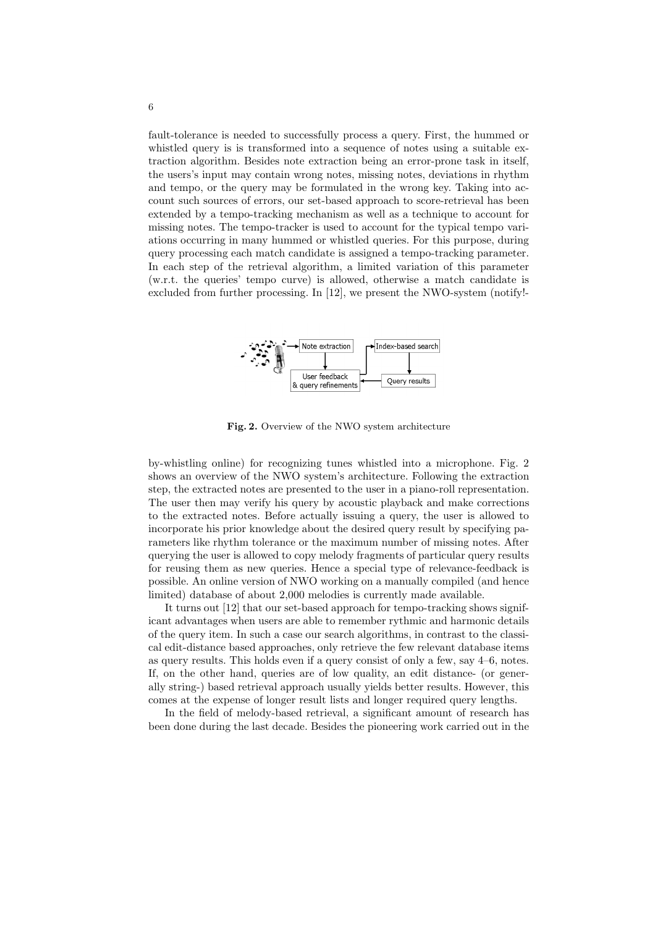fault-tolerance is needed to successfully process a query. First, the hummed or whistled query is is transformed into a sequence of notes using a suitable extraction algorithm. Besides note extraction being an error-prone task in itself, the users's input may contain wrong notes, missing notes, deviations in rhythm and tempo, or the query may be formulated in the wrong key. Taking into account such sources of errors, our set-based approach to score-retrieval has been extended by a tempo-tracking mechanism as well as a technique to account for missing notes. The tempo-tracker is used to account for the typical tempo variations occurring in many hummed or whistled queries. For this purpose, during query processing each match candidate is assigned a tempo-tracking parameter. In each step of the retrieval algorithm, a limited variation of this parameter (w.r.t. the queries' tempo curve) is allowed, otherwise a match candidate is excluded from further processing. In [12], we present the NWO-system (notify!-



Fig. 2. Overview of the NWO system architecture

by-whistling online) for recognizing tunes whistled into a microphone. Fig. 2 shows an overview of the NWO system's architecture. Following the extraction step, the extracted notes are presented to the user in a piano-roll representation. The user then may verify his query by acoustic playback and make corrections to the extracted notes. Before actually issuing a query, the user is allowed to incorporate his prior knowledge about the desired query result by specifying parameters like rhythm tolerance or the maximum number of missing notes. After querying the user is allowed to copy melody fragments of particular query results for reusing them as new queries. Hence a special type of relevance-feedback is possible. An online version of NWO working on a manually compiled (and hence limited) database of about 2,000 melodies is currently made available.

It turns out [12] that our set-based approach for tempo-tracking shows significant advantages when users are able to remember rythmic and harmonic details of the query item. In such a case our search algorithms, in contrast to the classical edit-distance based approaches, only retrieve the few relevant database items as query results. This holds even if a query consist of only a few, say 4–6, notes. If, on the other hand, queries are of low quality, an edit distance- (or generally string-) based retrieval approach usually yields better results. However, this comes at the expense of longer result lists and longer required query lengths.

In the field of melody-based retrieval, a significant amount of research has been done during the last decade. Besides the pioneering work carried out in the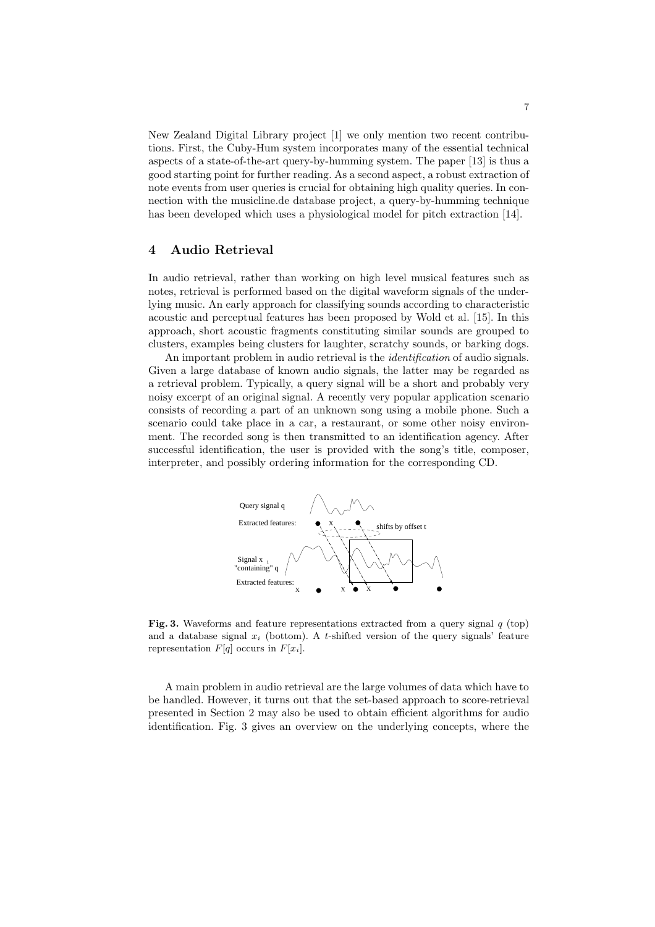New Zealand Digital Library project [1] we only mention two recent contributions. First, the Cuby-Hum system incorporates many of the essential technical aspects of a state-of-the-art query-by-humming system. The paper [13] is thus a good starting point for further reading. As a second aspect, a robust extraction of note events from user queries is crucial for obtaining high quality queries. In connection with the musicline.de database project, a query-by-humming technique has been developed which uses a physiological model for pitch extraction [14].

### 4 Audio Retrieval

In audio retrieval, rather than working on high level musical features such as notes, retrieval is performed based on the digital waveform signals of the underlying music. An early approach for classifying sounds according to characteristic acoustic and perceptual features has been proposed by Wold et al. [15]. In this approach, short acoustic fragments constituting similar sounds are grouped to clusters, examples being clusters for laughter, scratchy sounds, or barking dogs.

An important problem in audio retrieval is the *identification* of audio signals. Given a large database of known audio signals, the latter may be regarded as a retrieval problem. Typically, a query signal will be a short and probably very noisy excerpt of an original signal. A recently very popular application scenario consists of recording a part of an unknown song using a mobile phone. Such a scenario could take place in a car, a restaurant, or some other noisy environment. The recorded song is then transmitted to an identification agency. After successful identification, the user is provided with the song's title, composer, interpreter, and possibly ordering information for the corresponding CD.



**Fig. 3.** Waveforms and feature representations extracted from a query signal  $q$  (top) and a database signal  $x_i$  (bottom). A t-shifted version of the query signals' feature representation  $F[q]$  occurs in  $F[x_i]$ .

A main problem in audio retrieval are the large volumes of data which have to be handled. However, it turns out that the set-based approach to score-retrieval presented in Section 2 may also be used to obtain efficient algorithms for audio identification. Fig. 3 gives an overview on the underlying concepts, where the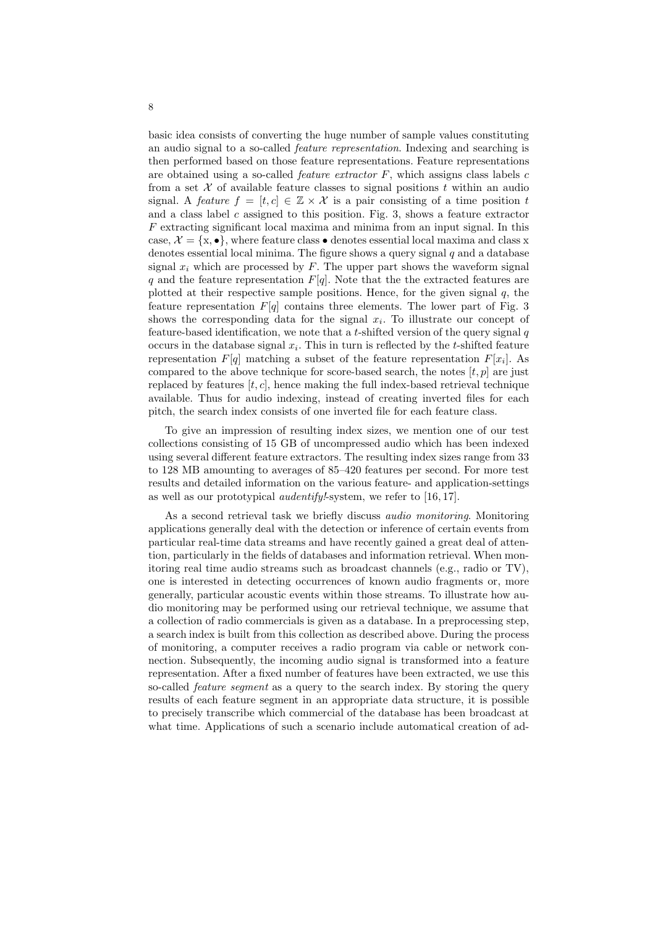basic idea consists of converting the huge number of sample values constituting an audio signal to a so-called feature representation. Indexing and searching is then performed based on those feature representations. Feature representations are obtained using a so-called *feature extractor*  $F$ , which assigns class labels  $c$ from a set  $\mathcal X$  of available feature classes to signal positions t within an audio signal. A feature  $f = [t, c] \in \mathbb{Z} \times \mathcal{X}$  is a pair consisting of a time position t and a class label  $c$  assigned to this position. Fig. 3, shows a feature extractor F extracting significant local maxima and minima from an input signal. In this case,  $\mathcal{X} = \{x, \bullet\}$ , where feature class  $\bullet$  denotes essential local maxima and class x denotes essential local minima. The figure shows a query signal  $q$  and a database signal  $x_i$  which are processed by  $F$ . The upper part shows the waveform signal q and the feature representation  $F[q]$ . Note that the the extracted features are plotted at their respective sample positions. Hence, for the given signal  $q$ , the feature representation  $F[q]$  contains three elements. The lower part of Fig. 3 shows the corresponding data for the signal  $x_i$ . To illustrate our concept of feature-based identification, we note that a  $t$ -shifted version of the query signal  $q$ occurs in the database signal  $x_i$ . This in turn is reflected by the *t*-shifted feature representation  $F[q]$  matching a subset of the feature representation  $F[x_i]$ . As compared to the above technique for score-based search, the notes  $[t, p]$  are just replaced by features  $[t, c]$ , hence making the full index-based retrieval technique available. Thus for audio indexing, instead of creating inverted files for each pitch, the search index consists of one inverted file for each feature class.

To give an impression of resulting index sizes, we mention one of our test collections consisting of 15 GB of uncompressed audio which has been indexed using several different feature extractors. The resulting index sizes range from 33 to 128 MB amounting to averages of 85–420 features per second. For more test results and detailed information on the various feature- and application-settings as well as our prototypical *audentify!*-system, we refer to  $[16, 17]$ .

As a second retrieval task we briefly discuss audio monitoring. Monitoring applications generally deal with the detection or inference of certain events from particular real-time data streams and have recently gained a great deal of attention, particularly in the fields of databases and information retrieval. When monitoring real time audio streams such as broadcast channels (e.g., radio or TV), one is interested in detecting occurrences of known audio fragments or, more generally, particular acoustic events within those streams. To illustrate how audio monitoring may be performed using our retrieval technique, we assume that a collection of radio commercials is given as a database. In a preprocessing step, a search index is built from this collection as described above. During the process of monitoring, a computer receives a radio program via cable or network connection. Subsequently, the incoming audio signal is transformed into a feature representation. After a fixed number of features have been extracted, we use this so-called *feature segment* as a query to the search index. By storing the query results of each feature segment in an appropriate data structure, it is possible to precisely transcribe which commercial of the database has been broadcast at what time. Applications of such a scenario include automatical creation of ad-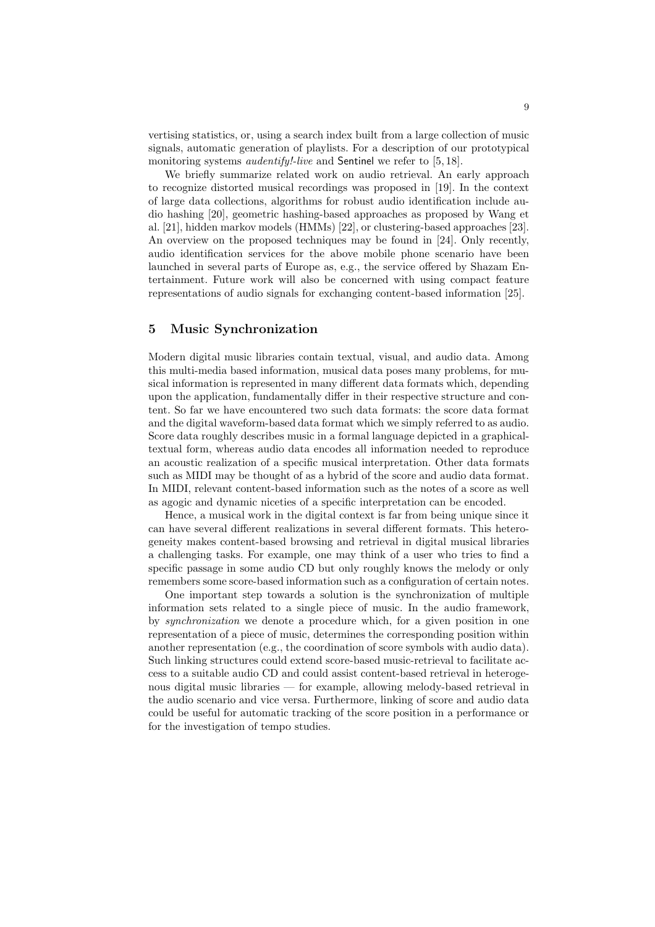vertising statistics, or, using a search index built from a large collection of music signals, automatic generation of playlists. For a description of our prototypical monitoring systems *audentify!-live* and **Sentinel** we refer to [5,18].

We briefly summarize related work on audio retrieval. An early approach to recognize distorted musical recordings was proposed in [19]. In the context of large data collections, algorithms for robust audio identification include audio hashing [20], geometric hashing-based approaches as proposed by Wang et al. [21], hidden markov models (HMMs) [22], or clustering-based approaches [23]. An overview on the proposed techniques may be found in [24]. Only recently, audio identification services for the above mobile phone scenario have been launched in several parts of Europe as, e.g., the service offered by Shazam Entertainment. Future work will also be concerned with using compact feature representations of audio signals for exchanging content-based information [25].

#### 5 Music Synchronization

Modern digital music libraries contain textual, visual, and audio data. Among this multi-media based information, musical data poses many problems, for musical information is represented in many different data formats which, depending upon the application, fundamentally differ in their respective structure and content. So far we have encountered two such data formats: the score data format and the digital waveform-based data format which we simply referred to as audio. Score data roughly describes music in a formal language depicted in a graphicaltextual form, whereas audio data encodes all information needed to reproduce an acoustic realization of a specific musical interpretation. Other data formats such as MIDI may be thought of as a hybrid of the score and audio data format. In MIDI, relevant content-based information such as the notes of a score as well as agogic and dynamic niceties of a specific interpretation can be encoded.

Hence, a musical work in the digital context is far from being unique since it can have several different realizations in several different formats. This heterogeneity makes content-based browsing and retrieval in digital musical libraries a challenging tasks. For example, one may think of a user who tries to find a specific passage in some audio CD but only roughly knows the melody or only remembers some score-based information such as a configuration of certain notes.

One important step towards a solution is the synchronization of multiple information sets related to a single piece of music. In the audio framework, by synchronization we denote a procedure which, for a given position in one representation of a piece of music, determines the corresponding position within another representation (e.g., the coordination of score symbols with audio data). Such linking structures could extend score-based music-retrieval to facilitate access to a suitable audio CD and could assist content-based retrieval in heterogenous digital music libraries — for example, allowing melody-based retrieval in the audio scenario and vice versa. Furthermore, linking of score and audio data could be useful for automatic tracking of the score position in a performance or for the investigation of tempo studies.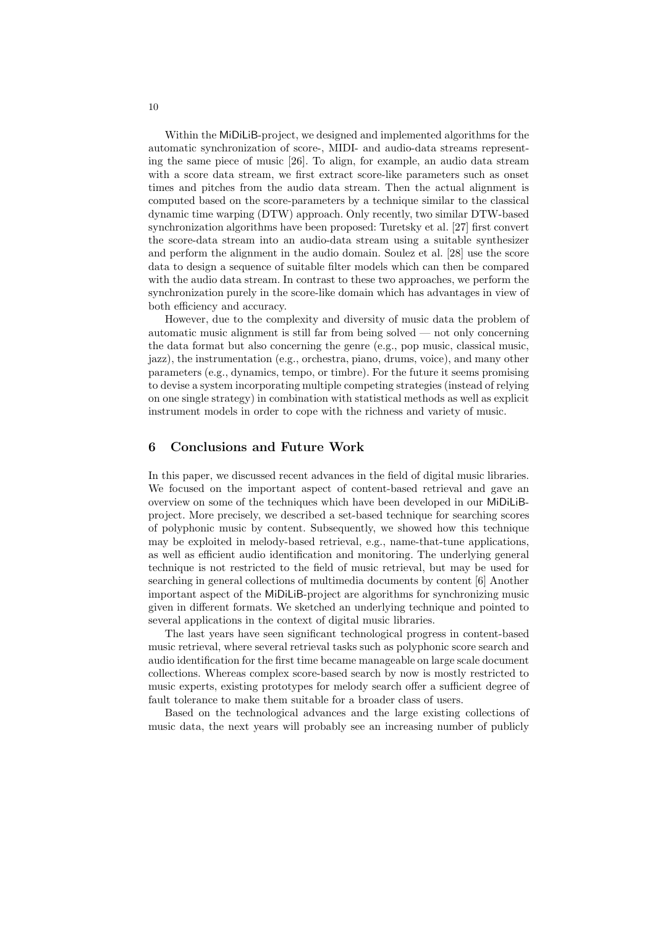Within the MiDiLiB-project, we designed and implemented algorithms for the automatic synchronization of score-, MIDI- and audio-data streams representing the same piece of music [26]. To align, for example, an audio data stream with a score data stream, we first extract score-like parameters such as onset times and pitches from the audio data stream. Then the actual alignment is computed based on the score-parameters by a technique similar to the classical dynamic time warping (DTW) approach. Only recently, two similar DTW-based synchronization algorithms have been proposed: Turetsky et al. [27] first convert the score-data stream into an audio-data stream using a suitable synthesizer and perform the alignment in the audio domain. Soulez et al. [28] use the score data to design a sequence of suitable filter models which can then be compared with the audio data stream. In contrast to these two approaches, we perform the synchronization purely in the score-like domain which has advantages in view of both efficiency and accuracy.

However, due to the complexity and diversity of music data the problem of automatic music alignment is still far from being solved — not only concerning the data format but also concerning the genre (e.g., pop music, classical music, jazz), the instrumentation (e.g., orchestra, piano, drums, voice), and many other parameters (e.g., dynamics, tempo, or timbre). For the future it seems promising to devise a system incorporating multiple competing strategies (instead of relying on one single strategy) in combination with statistical methods as well as explicit instrument models in order to cope with the richness and variety of music.

#### 6 Conclusions and Future Work

In this paper, we discussed recent advances in the field of digital music libraries. We focused on the important aspect of content-based retrieval and gave an overview on some of the techniques which have been developed in our MiDiLiBproject. More precisely, we described a set-based technique for searching scores of polyphonic music by content. Subsequently, we showed how this technique may be exploited in melody-based retrieval, e.g., name-that-tune applications, as well as efficient audio identification and monitoring. The underlying general technique is not restricted to the field of music retrieval, but may be used for searching in general collections of multimedia documents by content [6] Another important aspect of the MiDiLiB-project are algorithms for synchronizing music given in different formats. We sketched an underlying technique and pointed to several applications in the context of digital music libraries.

The last years have seen significant technological progress in content-based music retrieval, where several retrieval tasks such as polyphonic score search and audio identification for the first time became manageable on large scale document collections. Whereas complex score-based search by now is mostly restricted to music experts, existing prototypes for melody search offer a sufficient degree of fault tolerance to make them suitable for a broader class of users.

Based on the technological advances and the large existing collections of music data, the next years will probably see an increasing number of publicly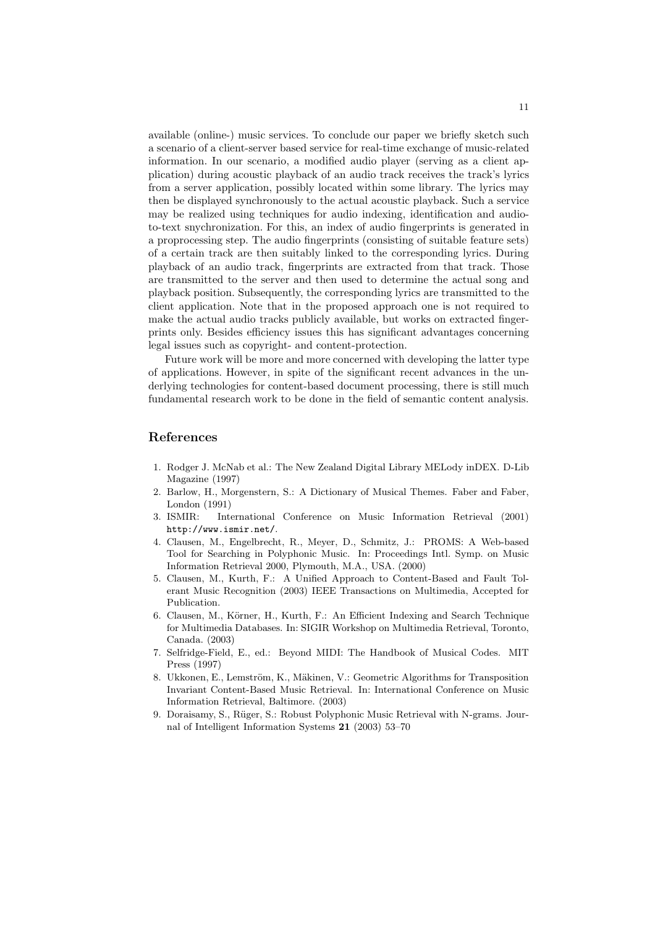available (online-) music services. To conclude our paper we briefly sketch such a scenario of a client-server based service for real-time exchange of music-related information. In our scenario, a modified audio player (serving as a client application) during acoustic playback of an audio track receives the track's lyrics from a server application, possibly located within some library. The lyrics may then be displayed synchronously to the actual acoustic playback. Such a service may be realized using techniques for audio indexing, identification and audioto-text snychronization. For this, an index of audio fingerprints is generated in a proprocessing step. The audio fingerprints (consisting of suitable feature sets) of a certain track are then suitably linked to the corresponding lyrics. During playback of an audio track, fingerprints are extracted from that track. Those are transmitted to the server and then used to determine the actual song and playback position. Subsequently, the corresponding lyrics are transmitted to the client application. Note that in the proposed approach one is not required to make the actual audio tracks publicly available, but works on extracted fingerprints only. Besides efficiency issues this has significant advantages concerning legal issues such as copyright- and content-protection.

Future work will be more and more concerned with developing the latter type of applications. However, in spite of the significant recent advances in the underlying technologies for content-based document processing, there is still much fundamental research work to be done in the field of semantic content analysis.

#### References

- 1. Rodger J. McNab et al.: The New Zealand Digital Library MELody inDEX. D-Lib Magazine (1997)
- 2. Barlow, H., Morgenstern, S.: A Dictionary of Musical Themes. Faber and Faber, London (1991)
- 3. ISMIR: International Conference on Music Information Retrieval (2001) http://www.ismir.net/.
- 4. Clausen, M., Engelbrecht, R., Meyer, D., Schmitz, J.: PROMS: A Web-based Tool for Searching in Polyphonic Music. In: Proceedings Intl. Symp. on Music Information Retrieval 2000, Plymouth, M.A., USA. (2000)
- 5. Clausen, M., Kurth, F.: A Unified Approach to Content-Based and Fault Tolerant Music Recognition (2003) IEEE Transactions on Multimedia, Accepted for Publication.
- 6. Clausen, M., Körner, H., Kurth, F.: An Efficient Indexing and Search Technique for Multimedia Databases. In: SIGIR Workshop on Multimedia Retrieval, Toronto, Canada. (2003)
- 7. Selfridge-Field, E., ed.: Beyond MIDI: The Handbook of Musical Codes. MIT Press (1997)
- 8. Ukkonen, E., Lemström, K., Mäkinen, V.: Geometric Algorithms for Transposition Invariant Content-Based Music Retrieval. In: International Conference on Music Information Retrieval, Baltimore. (2003)
- 9. Doraisamy, S., Rüger, S.: Robust Polyphonic Music Retrieval with N-grams. Journal of Intelligent Information Systems 21 (2003) 53–70